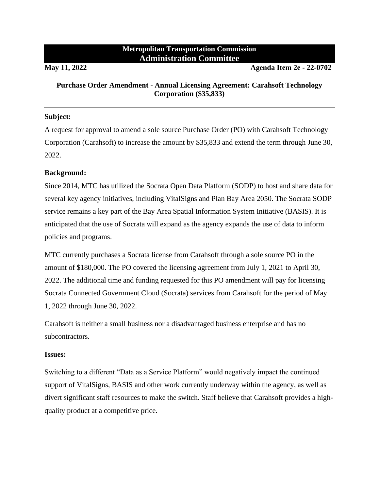## **Metropolitan Transportation Commission Administration Committee**

**May 11, 2022 Agenda Item 2e - 22-0702**

## **Purchase Order Amendment - Annual Licensing Agreement: Carahsoft Technology Corporation (\$35,833)**

## **Subject:**

A request for approval to amend a sole source Purchase Order (PO) with Carahsoft Technology Corporation (Carahsoft) to increase the amount by \$35,833 and extend the term through June 30, 2022.

## **Background:**

Since 2014, MTC has utilized the Socrata Open Data Platform (SODP) to host and share data for several key agency initiatives, including VitalSigns and Plan Bay Area 2050. The Socrata SODP service remains a key part of the Bay Area Spatial Information System Initiative (BASIS). It is anticipated that the use of Socrata will expand as the agency expands the use of data to inform policies and programs.

MTC currently purchases a Socrata license from Carahsoft through a sole source PO in the amount of \$180,000. The PO covered the licensing agreement from July 1, 2021 to April 30, 2022. The additional time and funding requested for this PO amendment will pay for licensing Socrata Connected Government Cloud (Socrata) services from Carahsoft for the period of May 1, 2022 through June 30, 2022.

Carahsoft is neither a small business nor a disadvantaged business enterprise and has no subcontractors.

#### **Issues:**

Switching to a different "Data as a Service Platform" would negatively impact the continued support of VitalSigns, BASIS and other work currently underway within the agency, as well as divert significant staff resources to make the switch. Staff believe that Carahsoft provides a highquality product at a competitive price.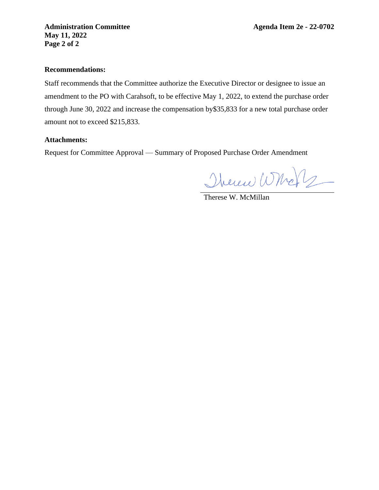**Administration Committee Agenda Item 2e - 22-0702 May 11, 2022 Page 2 of 2**

#### **Recommendations:**

Staff recommends that the Committee authorize the Executive Director or designee to issue an amendment to the PO with Carahsoft, to be effective May 1, 2022, to extend the purchase order through June 30, 2022 and increase the compensation by\$35,833 for a new total purchase order amount not to exceed \$215,833.

## **Attachments:**

Request for Committee Approval –– Summary of Proposed Purchase Order Amendment

Therew Whole

Therese W. McMillan